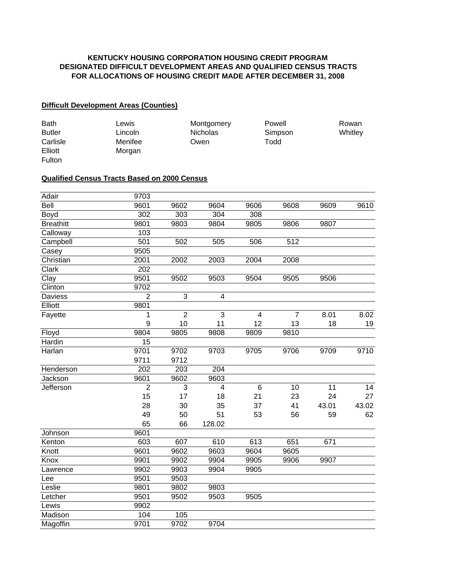## **KENTUCKY HOUSING CORPORATION HOUSING CREDIT PROGRAM DESIGNATED DIFFICULT DEVELOPMENT AREAS AND QUALIFIED CENSUS TRACTS FOR ALLOCATIONS OF HOUSING CREDIT MADE AFTER DECEMBER 31, 2008**

## **Difficult Development Areas (Counties)**

| <b>Bath</b>   | Lewis   | Montgomery      | Powell  | Rowan   |
|---------------|---------|-----------------|---------|---------|
| <b>Butler</b> | Lincoln | <b>Nicholas</b> | Simpson | Whitley |
| Carlisle      | Menifee | Owen            | Todd    |         |
| Elliott       | Morgan  |                 |         |         |
| <b>Fulton</b> |         |                 |         |         |

## **Qualified Census Tracts Based on 2000 Census**

| Adair            | 9703             |                |                |      |                |       |       |
|------------------|------------------|----------------|----------------|------|----------------|-------|-------|
| Bell             | 9601             | 9602           | 9604           | 9606 | 9608           | 9609  | 9610  |
| Boyd             | 302              | 303            | 304            | 308  |                |       |       |
| <b>Breathitt</b> | 9801             | 9803           | 9804           | 9805 | 9806           | 9807  |       |
| Calloway         | 103              |                |                |      |                |       |       |
| Campbell         | 501              | 502            | 505            | 506  | 512            |       |       |
| Casey            | 9505             |                |                |      |                |       |       |
| Christian        | 2001             | 2002           | 2003           | 2004 | 2008           |       |       |
| Clark            | $\overline{202}$ |                |                |      |                |       |       |
| Clay             | 9501             | 9502           | 9503           | 9504 | 9505           | 9506  |       |
| Clinton          | 9702             |                |                |      |                |       |       |
| <b>Daviess</b>   | $\overline{2}$   | 3              | 4              |      |                |       |       |
| Elliott          | 9801             |                |                |      |                |       |       |
| Fayette          | 1                | $\overline{2}$ | 3              | 4    | $\overline{7}$ | 8.01  | 8.02  |
|                  | 9                | 10             | 11             | 12   | 13             | 18    | 19    |
| Floyd            | 9804             | 9805           | 9808           | 9809 | 9810           |       |       |
| Hardin           | 15               |                |                |      |                |       |       |
| Harlan           | 9701             | 9702           | 9703           | 9705 | 9706           | 9709  | 9710  |
|                  | 9711             | 9712           |                |      |                |       |       |
| Henderson        | 202              | 203            | 204            |      |                |       |       |
| Jackson          | 9601             | 9602           | 9603           |      |                |       |       |
| Jefferson        | $\overline{2}$   | 3              | $\overline{4}$ | 6    | 10             | 11    | 14    |
|                  | 15               | 17             | 18             | 21   | 23             | 24    | 27    |
|                  | 28               | 30             | 35             | 37   | 41             | 43.01 | 43.02 |
|                  | 49               | 50             | 51             | 53   | 56             | 59    | 62    |
|                  | 65               | 66             | 128.02         |      |                |       |       |
| Johnson          | 9601             |                |                |      |                |       |       |
| Kenton           | 603              | 607            | 610            | 613  | 651            | 671   |       |
| Knott            | 9601             | 9602           | 9603           | 9604 | 9605           |       |       |
| Knox             | 9901             | 9902           | 9904           | 9905 | 9906           | 9907  |       |
| Lawrence         | 9902             | 9903           | 9904           | 9905 |                |       |       |
| Lee              | 9501             | 9503           |                |      |                |       |       |
| Leslie           | 9801             | 9802           | 9803           |      |                |       |       |
| Letcher          | 9501             | 9502           | 9503           | 9505 |                |       |       |
| Lewis            | 9902             |                |                |      |                |       |       |
| Madison          | 104              | 105            |                |      |                |       |       |
| Magoffin         | 9701             | 9702           | 9704           |      |                |       |       |